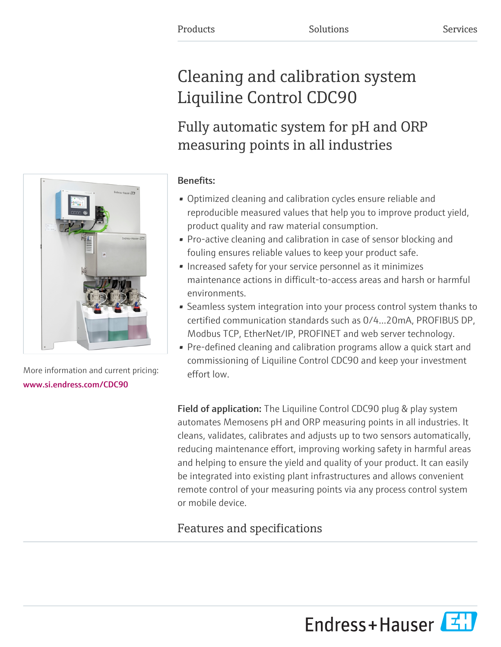# Cleaning and calibration system Liquiline Control CDC90

## Fully automatic system for pH and ORP measuring points in all industries

### Benefits:

- Optimized cleaning and calibration cycles ensure reliable and reproducible measured values that help you to improve product yield, product quality and raw material consumption.
- Pro-active cleaning and calibration in case of sensor blocking and fouling ensures reliable values to keep your product safe.
- Increased safety for your service personnel as it minimizes maintenance actions in difficult-to-access areas and harsh or harmful environments.
- Seamless system integration into your process control system thanks to certified communication standards such as 0/4…20mA, PROFIBUS DP, Modbus TCP, EtherNet/IP, PROFINET and web server technology.
- Pre-defined cleaning and calibration programs allow a quick start and commissioning of Liquiline Control CDC90 and keep your investment effort low.

Field of application: The Liquiline Control CDC90 plug & play system automates Memosens pH and ORP measuring points in all industries. It cleans, validates, calibrates and adjusts up to two sensors automatically, reducing maintenance effort, improving working safety in harmful areas and helping to ensure the yield and quality of your product. It can easily be integrated into existing plant infrastructures and allows convenient remote control of your measuring points via any process control system or mobile device.

## Features and specifications